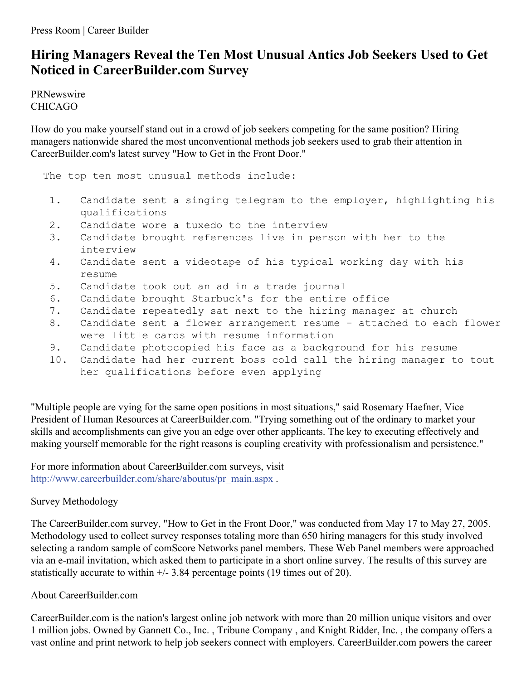## **Hiring Managers Reveal the Ten Most Unusual Antics Job Seekers Used to Get Noticed in CareerBuilder.com Survey**

PRNewswire CHICAGO

How do you make yourself stand out in a crowd of job seekers competing for the same position? Hiring managers nationwide shared the most unconventional methods job seekers used to grab their attention in CareerBuilder.com's latest survey "How to Get in the Front Door."

The top ten most unusual methods include:

- 1. Candidate sent a singing telegram to the employer, highlighting his qualifications
- 2. Candidate wore a tuxedo to the interview
- 3. Candidate brought references live in person with her to the interview
- 4. Candidate sent a videotape of his typical working day with his resume
- 5. Candidate took out an ad in a trade journal
- 6. Candidate brought Starbuck's for the entire office
- 7. Candidate repeatedly sat next to the hiring manager at church
- 8. Candidate sent a flower arrangement resume attached to each flower were little cards with resume information
- 9. Candidate photocopied his face as a background for his resume
- 10. Candidate had her current boss cold call the hiring manager to tout her qualifications before even applying

"Multiple people are vying for the same open positions in most situations," said Rosemary Haefner, Vice President of Human Resources at CareerBuilder.com. "Trying something out of the ordinary to market your skills and accomplishments can give you an edge over other applicants. The key to executing effectively and making yourself memorable for the right reasons is coupling creativity with professionalism and persistence."

For more information about CareerBuilder.com surveys, visit [http://www.careerbuilder.com/share/aboutus/pr\\_main.aspx](http://www.careerbuilder.com/share/aboutus/pr_main.aspx) .

## Survey Methodology

The CareerBuilder.com survey, "How to Get in the Front Door," was conducted from May 17 to May 27, 2005. Methodology used to collect survey responses totaling more than 650 hiring managers for this study involved selecting a random sample of comScore Networks panel members. These Web Panel members were approached via an e-mail invitation, which asked them to participate in a short online survey. The results of this survey are statistically accurate to within  $+/- 3.84$  percentage points (19 times out of 20).

## About CareerBuilder.com

CareerBuilder.com is the nation's largest online job network with more than 20 million unique visitors and over 1 million jobs. Owned by Gannett Co., Inc. , Tribune Company , and Knight Ridder, Inc. , the company offers a vast online and print network to help job seekers connect with employers. CareerBuilder.com powers the career